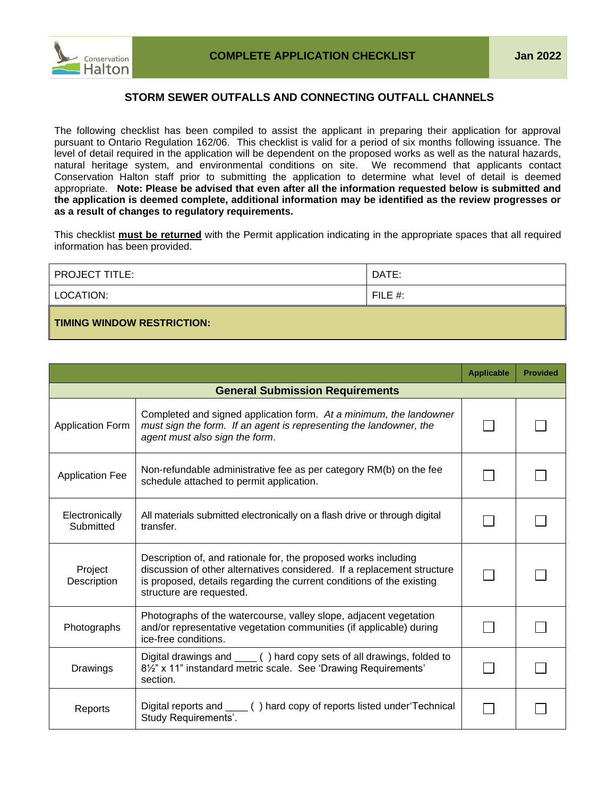

## **STORM SEWER OUTFALLS AND CONNECTING OUTFALL CHANNELS**

The following checklist has been compiled to assist the applicant in preparing their application for approval pursuant to Ontario Regulation 162/06. This checklist is valid for a period of six months following issuance. The level of detail required in the application will be dependent on the proposed works as well as the natural hazards, natural heritage system, and environmental conditions on site. We recommend that applicants contact Conservation Halton staff prior to submitting the application to determine what level of detail is deemed appropriate. **Note: Please be advised that even after all the information requested below is submitted and the application is deemed complete, additional information may be identified as the review progresses or as a result of changes to regulatory requirements.**

This checklist **must be returned** with the Permit application indicating in the appropriate spaces that all required information has been provided.

| <b>PROJECT TITLE:</b>             | DATE:      |
|-----------------------------------|------------|
| LOCATION:                         | FILE $#$ : |
| <b>TIMING WINDOW RESTRICTION:</b> |            |

|                                        |                                                                                                                                                                                                                                                 | <b>Applicable</b> | <b>Provided</b> |
|----------------------------------------|-------------------------------------------------------------------------------------------------------------------------------------------------------------------------------------------------------------------------------------------------|-------------------|-----------------|
| <b>General Submission Requirements</b> |                                                                                                                                                                                                                                                 |                   |                 |
| <b>Application Form</b>                | Completed and signed application form. At a minimum, the landowner<br>must sign the form. If an agent is representing the landowner, the<br>agent must also sign the form.                                                                      |                   |                 |
| <b>Application Fee</b>                 | Non-refundable administrative fee as per category RM(b) on the fee<br>schedule attached to permit application.                                                                                                                                  |                   |                 |
| Electronically<br>Submitted            | All materials submitted electronically on a flash drive or through digital<br>transfer.                                                                                                                                                         |                   |                 |
| Project<br>Description                 | Description of, and rationale for, the proposed works including<br>discussion of other alternatives considered. If a replacement structure<br>is proposed, details regarding the current conditions of the existing<br>structure are requested. |                   |                 |
| Photographs                            | Photographs of the watercourse, valley slope, adjacent vegetation<br>and/or representative vegetation communities (if applicable) during<br>ice-free conditions.                                                                                |                   |                 |
| Drawings                               | Digital drawings and _____ () hard copy sets of all drawings, folded to<br>8 <sup>1/2"</sup> x 11" instandard metric scale. See 'Drawing Requirements'<br>section.                                                                              |                   |                 |
| Reports                                | Digital reports and _____ () hard copy of reports listed under Technical<br>Study Requirements'.                                                                                                                                                |                   |                 |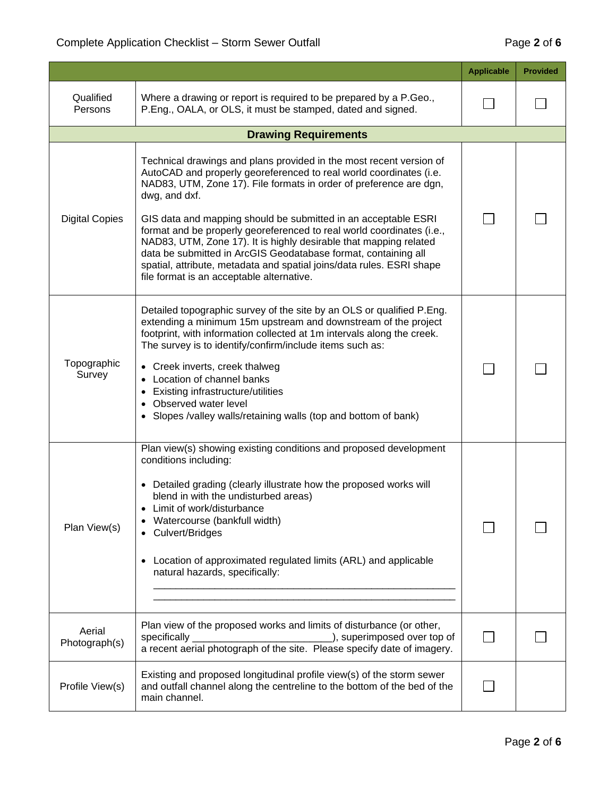|                         |                                                                                                                                                                                                                                                                                                                                                                                                                                                                                                                                                                                                                                          | <b>Applicable</b> | <b>Provided</b> |
|-------------------------|------------------------------------------------------------------------------------------------------------------------------------------------------------------------------------------------------------------------------------------------------------------------------------------------------------------------------------------------------------------------------------------------------------------------------------------------------------------------------------------------------------------------------------------------------------------------------------------------------------------------------------------|-------------------|-----------------|
| Qualified<br>Persons    | Where a drawing or report is required to be prepared by a P.Geo.,<br>P.Eng., OALA, or OLS, it must be stamped, dated and signed.                                                                                                                                                                                                                                                                                                                                                                                                                                                                                                         |                   |                 |
|                         | <b>Drawing Requirements</b>                                                                                                                                                                                                                                                                                                                                                                                                                                                                                                                                                                                                              |                   |                 |
| <b>Digital Copies</b>   | Technical drawings and plans provided in the most recent version of<br>AutoCAD and properly georeferenced to real world coordinates (i.e.<br>NAD83, UTM, Zone 17). File formats in order of preference are dgn,<br>dwg, and dxf.<br>GIS data and mapping should be submitted in an acceptable ESRI<br>format and be properly georeferenced to real world coordinates (i.e.,<br>NAD83, UTM, Zone 17). It is highly desirable that mapping related<br>data be submitted in ArcGIS Geodatabase format, containing all<br>spatial, attribute, metadata and spatial joins/data rules. ESRI shape<br>file format is an acceptable alternative. |                   |                 |
| Topographic<br>Survey   | Detailed topographic survey of the site by an OLS or qualified P.Eng.<br>extending a minimum 15m upstream and downstream of the project<br>footprint, with information collected at 1m intervals along the creek.<br>The survey is to identify/confirm/include items such as:<br>• Creek inverts, creek thalweg<br>Location of channel banks<br>Existing infrastructure/utilities<br>Observed water level<br>Slopes /valley walls/retaining walls (top and bottom of bank)                                                                                                                                                               |                   |                 |
| Plan View(s)            | Plan view(s) showing existing conditions and proposed development<br>conditions including:<br>• Detailed grading (clearly illustrate how the proposed works will<br>blend in with the undisturbed areas)<br>Limit of work/disturbance<br>Watercourse (bankfull width)<br>Culvert/Bridges<br>Location of approximated regulated limits (ARL) and applicable<br>natural hazards, specifically:                                                                                                                                                                                                                                             |                   |                 |
| Aerial<br>Photograph(s) | Plan view of the proposed works and limits of disturbance (or other,<br>specifically<br>), superimposed over top of<br>a recent aerial photograph of the site. Please specify date of imagery.                                                                                                                                                                                                                                                                                                                                                                                                                                           |                   |                 |
| Profile View(s)         | Existing and proposed longitudinal profile view(s) of the storm sewer<br>and outfall channel along the centreline to the bottom of the bed of the<br>main channel.                                                                                                                                                                                                                                                                                                                                                                                                                                                                       |                   |                 |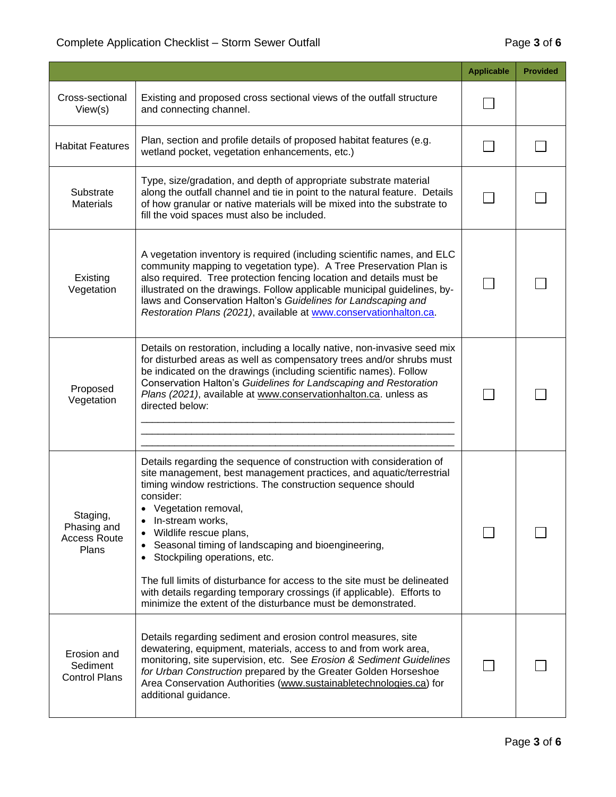|                                                         |                                                                                                                                                                                                                                                                                                                                                                                                                                                                                                                                                                                                             | <b>Applicable</b> | <b>Provided</b> |
|---------------------------------------------------------|-------------------------------------------------------------------------------------------------------------------------------------------------------------------------------------------------------------------------------------------------------------------------------------------------------------------------------------------------------------------------------------------------------------------------------------------------------------------------------------------------------------------------------------------------------------------------------------------------------------|-------------------|-----------------|
| Cross-sectional<br>View(s)                              | Existing and proposed cross sectional views of the outfall structure<br>and connecting channel.                                                                                                                                                                                                                                                                                                                                                                                                                                                                                                             |                   |                 |
| <b>Habitat Features</b>                                 | Plan, section and profile details of proposed habitat features (e.g.<br>wetland pocket, vegetation enhancements, etc.)                                                                                                                                                                                                                                                                                                                                                                                                                                                                                      |                   |                 |
| Substrate<br><b>Materials</b>                           | Type, size/gradation, and depth of appropriate substrate material<br>along the outfall channel and tie in point to the natural feature. Details<br>of how granular or native materials will be mixed into the substrate to<br>fill the void spaces must also be included.                                                                                                                                                                                                                                                                                                                                   |                   |                 |
| Existing<br>Vegetation                                  | A vegetation inventory is required (including scientific names, and ELC<br>community mapping to vegetation type). A Tree Preservation Plan is<br>also required. Tree protection fencing location and details must be<br>illustrated on the drawings. Follow applicable municipal guidelines, by-<br>laws and Conservation Halton's Guidelines for Landscaping and<br>Restoration Plans (2021), available at www.conservationhalton.ca.                                                                                                                                                                      |                   |                 |
| Proposed<br>Vegetation                                  | Details on restoration, including a locally native, non-invasive seed mix<br>for disturbed areas as well as compensatory trees and/or shrubs must<br>be indicated on the drawings (including scientific names). Follow<br>Conservation Halton's Guidelines for Landscaping and Restoration<br>Plans (2021), available at www.conservationhalton.ca. unless as<br>directed below:                                                                                                                                                                                                                            |                   |                 |
| Staging,<br>Phasing and<br><b>Access Route</b><br>Plans | Details regarding the sequence of construction with consideration of<br>site management, best management practices, and aquatic/terrestrial<br>timing window restrictions. The construction sequence should<br>consider:<br>• Vegetation removal,<br>In-stream works,<br>Wildlife rescue plans,<br>Seasonal timing of landscaping and bioengineering,<br>Stockpiling operations, etc.<br>The full limits of disturbance for access to the site must be delineated<br>with details regarding temporary crossings (if applicable). Efforts to<br>minimize the extent of the disturbance must be demonstrated. |                   |                 |
| Erosion and<br>Sediment<br><b>Control Plans</b>         | Details regarding sediment and erosion control measures, site<br>dewatering, equipment, materials, access to and from work area,<br>monitoring, site supervision, etc. See Erosion & Sediment Guidelines<br>for Urban Construction prepared by the Greater Golden Horseshoe<br>Area Conservation Authorities (www.sustainabletechnologies.ca) for<br>additional guidance.                                                                                                                                                                                                                                   |                   |                 |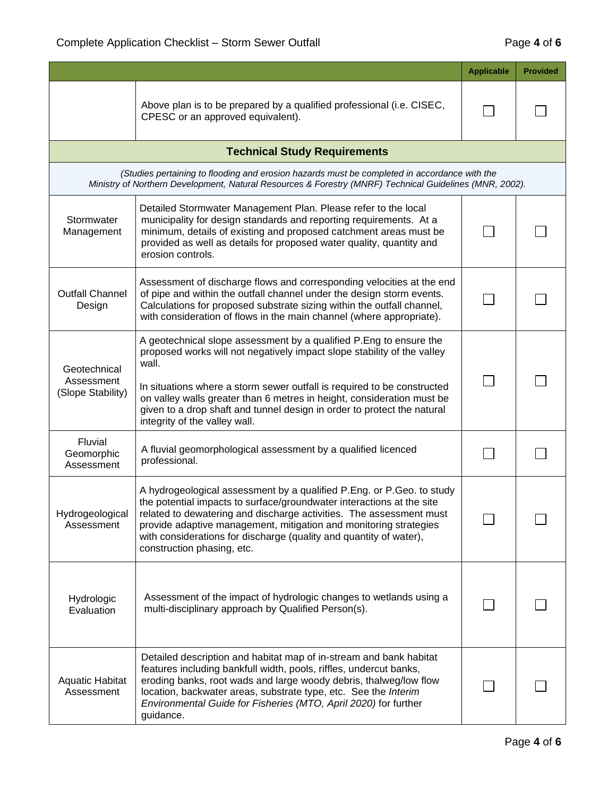|                                                 |                                                                                                                                                                                                                                                                                                                                                                                                                          | <b>Applicable</b> | <b>Provided</b> |
|-------------------------------------------------|--------------------------------------------------------------------------------------------------------------------------------------------------------------------------------------------------------------------------------------------------------------------------------------------------------------------------------------------------------------------------------------------------------------------------|-------------------|-----------------|
|                                                 | Above plan is to be prepared by a qualified professional (i.e. CISEC,<br>CPESC or an approved equivalent).                                                                                                                                                                                                                                                                                                               |                   |                 |
|                                                 | <b>Technical Study Requirements</b>                                                                                                                                                                                                                                                                                                                                                                                      |                   |                 |
|                                                 | (Studies pertaining to flooding and erosion hazards must be completed in accordance with the<br>Ministry of Northern Development, Natural Resources & Forestry (MNRF) Technical Guidelines (MNR, 2002).                                                                                                                                                                                                                  |                   |                 |
| Stormwater<br>Management                        | Detailed Stormwater Management Plan. Please refer to the local<br>municipality for design standards and reporting requirements. At a<br>minimum, details of existing and proposed catchment areas must be<br>provided as well as details for proposed water quality, quantity and<br>erosion controls.                                                                                                                   |                   |                 |
| <b>Outfall Channel</b><br>Design                | Assessment of discharge flows and corresponding velocities at the end<br>of pipe and within the outfall channel under the design storm events.<br>Calculations for proposed substrate sizing within the outfall channel,<br>with consideration of flows in the main channel (where appropriate).                                                                                                                         |                   |                 |
| Geotechnical<br>Assessment<br>(Slope Stability) | A geotechnical slope assessment by a qualified P. Eng to ensure the<br>proposed works will not negatively impact slope stability of the valley<br>wall.<br>In situations where a storm sewer outfall is required to be constructed<br>on valley walls greater than 6 metres in height, consideration must be<br>given to a drop shaft and tunnel design in order to protect the natural<br>integrity of the valley wall. |                   |                 |
| Fluvial<br>Geomorphic<br>Assessment             | A fluvial geomorphological assessment by a qualified licenced<br>professional.                                                                                                                                                                                                                                                                                                                                           |                   |                 |
| Hydrogeological<br>Assessment                   | A hydrogeological assessment by a qualified P.Eng. or P.Geo. to study<br>the potential impacts to surface/groundwater interactions at the site<br>related to dewatering and discharge activities. The assessment must<br>provide adaptive management, mitigation and monitoring strategies<br>with considerations for discharge (quality and quantity of water),<br>construction phasing, etc.                           |                   |                 |
| Hydrologic<br>Evaluation                        | Assessment of the impact of hydrologic changes to wetlands using a<br>multi-disciplinary approach by Qualified Person(s).                                                                                                                                                                                                                                                                                                |                   |                 |
| <b>Aquatic Habitat</b><br>Assessment            | Detailed description and habitat map of in-stream and bank habitat<br>features including bankfull width, pools, riffles, undercut banks,<br>eroding banks, root wads and large woody debris, thalweg/low flow<br>location, backwater areas, substrate type, etc. See the Interim<br>Environmental Guide for Fisheries (MTO, April 2020) for further<br>guidance.                                                         |                   |                 |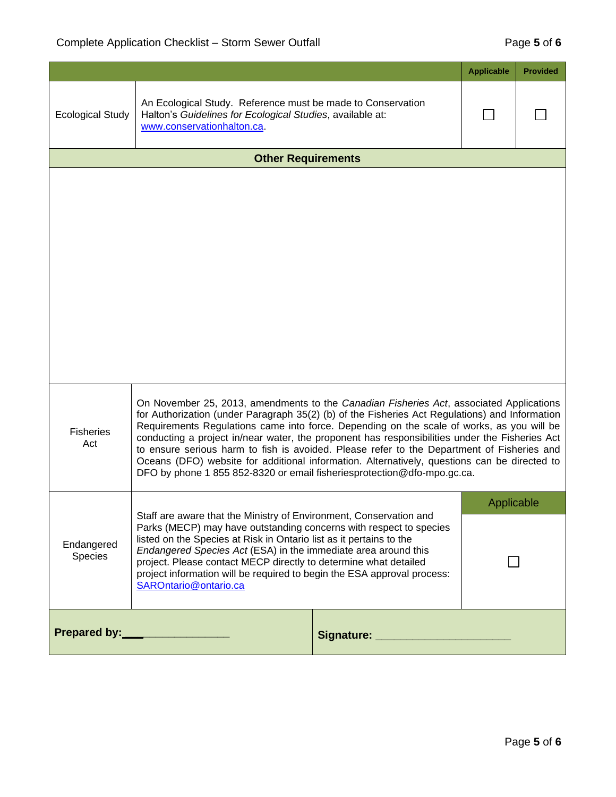|                                                                                                                                                                                                                                                                                                                                                                                                                                                                                                                                                                                                                                                                                              |                                                                                                                                                        |                                        | <b>Applicable</b> | <b>Provided</b> |
|----------------------------------------------------------------------------------------------------------------------------------------------------------------------------------------------------------------------------------------------------------------------------------------------------------------------------------------------------------------------------------------------------------------------------------------------------------------------------------------------------------------------------------------------------------------------------------------------------------------------------------------------------------------------------------------------|--------------------------------------------------------------------------------------------------------------------------------------------------------|----------------------------------------|-------------------|-----------------|
| <b>Ecological Study</b>                                                                                                                                                                                                                                                                                                                                                                                                                                                                                                                                                                                                                                                                      | An Ecological Study. Reference must be made to Conservation<br>Halton's Guidelines for Ecological Studies, available at:<br>www.conservationhalton.ca. |                                        |                   |                 |
|                                                                                                                                                                                                                                                                                                                                                                                                                                                                                                                                                                                                                                                                                              | <b>Other Requirements</b>                                                                                                                              |                                        |                   |                 |
|                                                                                                                                                                                                                                                                                                                                                                                                                                                                                                                                                                                                                                                                                              |                                                                                                                                                        |                                        |                   |                 |
| On November 25, 2013, amendments to the Canadian Fisheries Act, associated Applications<br>for Authorization (under Paragraph 35(2) (b) of the Fisheries Act Regulations) and Information<br>Requirements Regulations came into force. Depending on the scale of works, as you will be<br><b>Fisheries</b><br>conducting a project in/near water, the proponent has responsibilities under the Fisheries Act<br>Act<br>to ensure serious harm to fish is avoided. Please refer to the Department of Fisheries and<br>Oceans (DFO) website for additional information. Alternatively, questions can be directed to<br>DFO by phone 1 855 852-8320 or email fisheriesprotection@dfo-mpo.gc.ca. |                                                                                                                                                        |                                        |                   |                 |
| Staff are aware that the Ministry of Environment, Conservation and<br>Parks (MECP) may have outstanding concerns with respect to species<br>listed on the Species at Risk in Ontario list as it pertains to the<br>Endangered<br>Endangered Species Act (ESA) in the immediate area around this<br>Species<br>project. Please contact MECP directly to determine what detailed<br>project information will be required to begin the ESA approval process:<br>SAROntario@ontario.ca                                                                                                                                                                                                           |                                                                                                                                                        | Applicable                             |                   |                 |
| Prepared by: __________________                                                                                                                                                                                                                                                                                                                                                                                                                                                                                                                                                                                                                                                              |                                                                                                                                                        | Signature: ___________________________ |                   |                 |